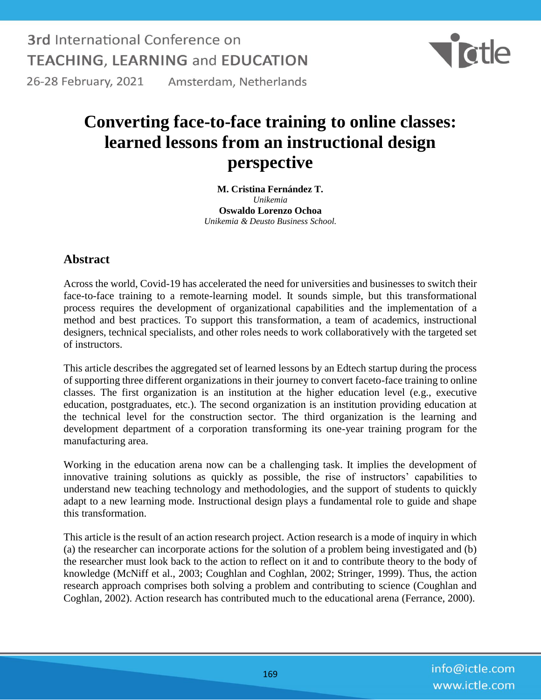**3rd International Conference on TEACHING, LEARNING and EDUCATION** 



26-28 February, 2021 Amsterdam, Netherlands

## **Converting face-to-face training to online classes: learned lessons from an instructional design perspective**

**M. Cristina Fernández T.** *Unikemia* **Oswaldo Lorenzo Ochoa** *Unikemia & Deusto Business School.*

## **Abstract**

Across the world, Covid-19 has accelerated the need for universities and businesses to switch their face-to-face training to a remote-learning model. It sounds simple, but this transformational process requires the development of organizational capabilities and the implementation of a method and best practices. To support this transformation, a team of academics, instructional designers, technical specialists, and other roles needs to work collaboratively with the targeted set of instructors.

This article describes the aggregated set of learned lessons by an Edtech startup during the process of supporting three different organizations in their journey to convert faceto-face training to online classes. The first organization is an institution at the higher education level (e.g., executive education, postgraduates, etc.). The second organization is an institution providing education at the technical level for the construction sector. The third organization is the learning and development department of a corporation transforming its one-year training program for the manufacturing area.

Working in the education arena now can be a challenging task. It implies the development of innovative training solutions as quickly as possible, the rise of instructors' capabilities to understand new teaching technology and methodologies, and the support of students to quickly adapt to a new learning mode. Instructional design plays a fundamental role to guide and shape this transformation.

This article is the result of an action research project. Action research is a mode of inquiry in which (a) the researcher can incorporate actions for the solution of a problem being investigated and (b) the researcher must look back to the action to reflect on it and to contribute theory to the body of knowledge (McNiff et al., 2003; Coughlan and Coghlan, 2002; Stringer, 1999). Thus, the action research approach comprises both solving a problem and contributing to science (Coughlan and Coghlan, 2002). Action research has contributed much to the educational arena (Ferrance, 2000).